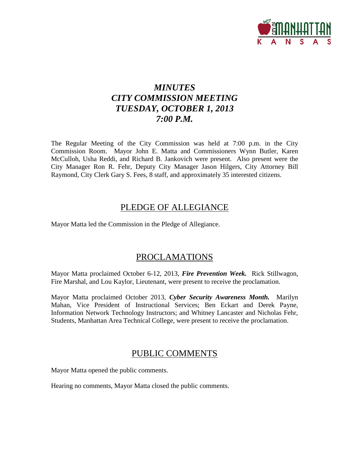

# *MINUTES CITY COMMISSION MEETING TUESDAY, OCTOBER 1, 2013 7:00 P.M.*

The Regular Meeting of the City Commission was held at 7:00 p.m. in the City Commission Room. Mayor John E. Matta and Commissioners Wynn Butler, Karen McCulloh, Usha Reddi, and Richard B. Jankovich were present. Also present were the City Manager Ron R. Fehr, Deputy City Manager Jason Hilgers, City Attorney Bill Raymond, City Clerk Gary S. Fees, 8 staff, and approximately 35 interested citizens.

# PLEDGE OF ALLEGIANCE

Mayor Matta led the Commission in the Pledge of Allegiance.

# PROCLAMATIONS

Mayor Matta proclaimed October 6-12, 2013, *Fire Prevention Week.* Rick Stillwagon, Fire Marshal, and Lou Kaylor, Lieutenant, were present to receive the proclamation.

Mayor Matta proclaimed October 2013, *Cyber Security Awareness Month.* Marilyn Mahan, Vice President of Instructional Services; Ben Eckart and Derek Payne, Information Network Technology Instructors; and Whitney Lancaster and Nicholas Fehr, Students, Manhattan Area Technical College, were present to receive the proclamation.

# PUBLIC COMMENTS

Mayor Matta opened the public comments.

Hearing no comments, Mayor Matta closed the public comments.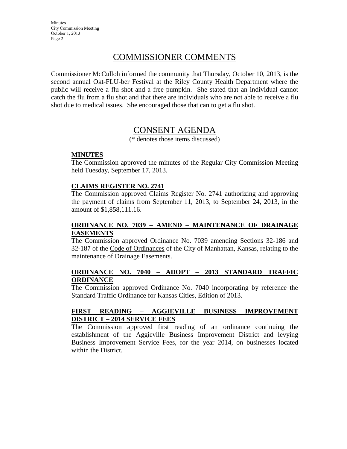# COMMISSIONER COMMENTS

Commissioner McCulloh informed the community that Thursday, October 10, 2013, is the second annual Okt-FLU-ber Festival at the Riley County Health Department where the public will receive a flu shot and a free pumpkin. She stated that an individual cannot catch the flu from a flu shot and that there are individuals who are not able to receive a flu shot due to medical issues. She encouraged those that can to get a flu shot.

# CONSENT AGENDA

(\* denotes those items discussed)

#### **MINUTES**

The Commission approved the minutes of the Regular City Commission Meeting held Tuesday, September 17, 2013.

#### **CLAIMS REGISTER NO. 2741**

The Commission approved Claims Register No. 2741 authorizing and approving the payment of claims from September 11, 2013, to September 24, 2013, in the amount of \$1,858,111.16.

### **ORDINANCE NO. 7039 – AMEND – MAINTENANCE OF DRAINAGE EASEMENTS**

The Commission approved Ordinance No. 7039 amending Sections 32-186 and 32-187 of the Code of Ordinances of the City of Manhattan, Kansas, relating to the maintenance of Drainage Easements.

### **ORDINANCE NO. 7040 – ADOPT – 2013 STANDARD TRAFFIC ORDINANCE**

The Commission approved Ordinance No. 7040 incorporating by reference the Standard Traffic Ordinance for Kansas Cities, Edition of 2013.

### **FIRST READING – AGGIEVILLE BUSINESS IMPROVEMENT DISTRICT – 2014 SERVICE FEES**

The Commission approved first reading of an ordinance continuing the establishment of the Aggieville Business Improvement District and levying Business Improvement Service Fees, for the year 2014, on businesses located within the District.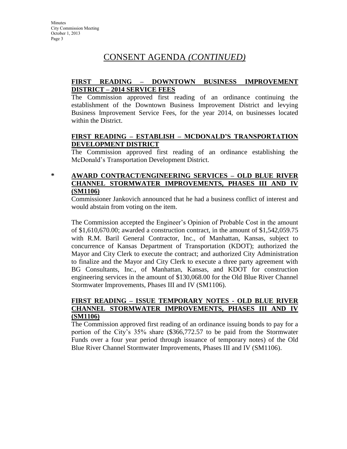# CONSENT AGENDA *(CONTINUED)*

### **FIRST READING – DOWNTOWN BUSINESS IMPROVEMENT DISTRICT – 2014 SERVICE FEES**

The Commission approved first reading of an ordinance continuing the establishment of the Downtown Business Improvement District and levying Business Improvement Service Fees, for the year 2014, on businesses located within the District.

## **FIRST READING – ESTABLISH – MCDONALD'S TRANSPORTATION DEVELOPMENT DISTRICT**

The Commission approved first reading of an ordinance establishing the McDonald's Transportation Development District.

**\* AWARD CONTRACT/ENGINEERING SERVICES – OLD BLUE RIVER CHANNEL STORMWATER IMPROVEMENTS, PHASES III AND IV (SM1106)**

Commissioner Jankovich announced that he had a business conflict of interest and would abstain from voting on the item.

The Commission accepted the Engineer's Opinion of Probable Cost in the amount of \$1,610,670.00; awarded a construction contract, in the amount of \$1,542,059.75 with R.M. Baril General Contractor, Inc., of Manhattan, Kansas, subject to concurrence of Kansas Department of Transportation (KDOT); authorized the Mayor and City Clerk to execute the contract; and authorized City Administration to finalize and the Mayor and City Clerk to execute a three party agreement with BG Consultants, Inc., of Manhattan, Kansas, and KDOT for construction engineering services in the amount of \$130,068.00 for the Old Blue River Channel Stormwater Improvements, Phases III and IV (SM1106).

### **FIRST READING – ISSUE TEMPORARY NOTES - OLD BLUE RIVER CHANNEL STORMWATER IMPROVEMENTS, PHASES III AND IV (SM1106)**

The Commission approved first reading of an ordinance issuing bonds to pay for a portion of the City's 35% share (\$366,772.57 to be paid from the Stormwater Funds over a four year period through issuance of temporary notes) of the Old Blue River Channel Stormwater Improvements, Phases III and IV (SM1106).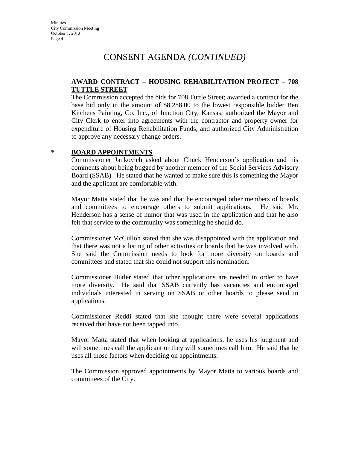# CONSENT AGENDA *(CONTINUED)*

### **AWARD CONTRACT – HOUSING REHABILITATION PROJECT – 708 TUTTLE STREET**

The Commission accepted the bids for 708 Tuttle Street; awarded a contract for the base bid only in the amount of \$8,288.00 to the lowest responsible bidder Ben Kitchens Painting, Co. Inc., of Junction City, Kansas; authorized the Mayor and City Clerk to enter into agreements with the contractor and property owner for expenditure of Housing Rehabilitation Funds; and authorized City Administration to approve any necessary change orders.

### **\* BOARD APPOINTMENTS**

Commissioner Jankovich asked about Chuck Henderson's application and his comments about being bugged by another member of the Social Services Advisory Board (SSAB). He stated that he wanted to make sure this is something the Mayor and the applicant are comfortable with.

Mayor Matta stated that he was and that he encouraged other members of boards and committees to encourage others to submit applications. He said Mr. Henderson has a sense of humor that was used in the application and that he also felt that service to the community was something he should do.

Commissioner McCulloh stated that she was disappointed with the application and that there was not a listing of other activities or boards that he was involved with. She said the Commission needs to look for more diversity on boards and committees and stated that she could not support this nomination.

Commissioner Butler stated that other applications are needed in order to have more diversity. He said that SSAB currently has vacancies and encouraged individuals interested in serving on SSAB or other boards to please send in applications.

Commissioner Reddi stated that she thought there were several applications received that have not been tapped into.

Mayor Matta stated that when looking at applications, he uses his judgment and will sometimes call the applicant or they will sometimes call him. He said that he uses all those factors when deciding on appointments.

The Commission approved appointments by Mayor Matta to various boards and committees of the City.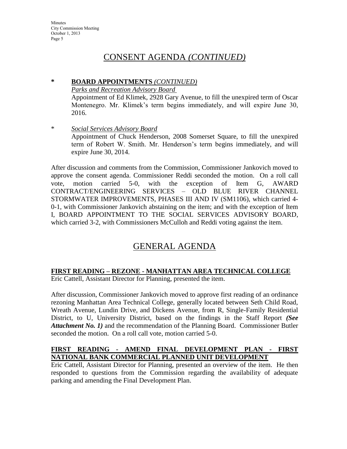# CONSENT AGENDA *(CONTINUED)*

### **\* BOARD APPOINTMENTS** *(CONTINUED)*

*Parks and Recreation Advisory Board* 

Appointment of Ed Klimek, 2928 Gary Avenue, to fill the unexpired term of Oscar Montenegro. Mr. Klimek's term begins immediately, and will expire June 30, 2016.

\* *Social Services Advisory Board* Appointment of Chuck Henderson, 2008 Somerset Square, to fill the unexpired term of Robert W. Smith. Mr. Henderson's term begins immediately, and will expire June 30, 2014.

After discussion and comments from the Commission, Commissioner Jankovich moved to approve the consent agenda. Commissioner Reddi seconded the motion. On a roll call vote, motion carried 5-0, with the exception of Item G, AWARD CONTRACT/ENGINEERING SERVICES – OLD BLUE RIVER CHANNEL STORMWATER IMPROVEMENTS, PHASES III AND IV (SM1106), which carried 4- 0-1, with Commissioner Jankovich abstaining on the item; and with the exception of Item I, BOARD APPOINTMENT TO THE SOCIAL SERVICES ADVISORY BOARD, which carried 3-2, with Commissioners McCulloh and Reddi voting against the item.

# GENERAL AGENDA

# **FIRST READING – REZONE - MANHATTAN AREA TECHNICAL COLLEGE**

Eric Cattell, Assistant Director for Planning, presented the item.

After discussion, Commissioner Jankovich moved to approve first reading of an ordinance rezoning Manhattan Area Technical College, generally located between Seth Child Road, Wreath Avenue, Lundin Drive, and Dickens Avenue, from R, Single-Family Residential District, to U, University District, based on the findings in the Staff Report *(See Attachment No. 1)* and the recommendation of the Planning Board. Commissioner Butler seconded the motion. On a roll call vote, motion carried 5-0.

## **FIRST READING - AMEND FINAL DEVELOPMENT PLAN - FIRST NATIONAL BANK COMMERCIAL PLANNED UNIT DEVELOPMENT**

Eric Cattell, Assistant Director for Planning, presented an overview of the item. He then responded to questions from the Commission regarding the availability of adequate parking and amending the Final Development Plan.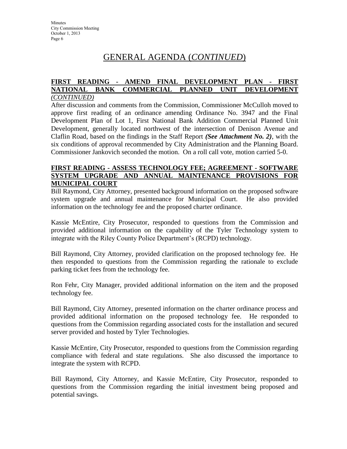# GENERAL AGENDA (*CONTINUED*)

#### **FIRST READING - AMEND FINAL DEVELOPMENT PLAN - FIRST NATIONAL BANK COMMERCIAL PLANNED UNIT DEVELOPMENT** *(CONTINUED)*

After discussion and comments from the Commission, Commissioner McCulloh moved to approve first reading of an ordinance amending Ordinance No. 3947 and the Final Development Plan of Lot 1, First National Bank Addition Commercial Planned Unit Development, generally located northwest of the intersection of Denison Avenue and Claflin Road, based on the findings in the Staff Report *(See Attachment No. 2)*, with the six conditions of approval recommended by City Administration and the Planning Board. Commissioner Jankovich seconded the motion. On a roll call vote, motion carried 5-0.

#### **FIRST READING - ASSESS TECHNOLOGY FEE; AGREEMENT - SOFTWARE SYSTEM UPGRADE AND ANNUAL MAINTENANCE PROVISIONS FOR MUNICIPAL COURT**

Bill Raymond, City Attorney, presented background information on the proposed software system upgrade and annual maintenance for Municipal Court. He also provided information on the technology fee and the proposed charter ordinance.

Kassie McEntire, City Prosecutor, responded to questions from the Commission and provided additional information on the capability of the Tyler Technology system to integrate with the Riley County Police Department's (RCPD) technology.

Bill Raymond, City Attorney, provided clarification on the proposed technology fee. He then responded to questions from the Commission regarding the rationale to exclude parking ticket fees from the technology fee.

Ron Fehr, City Manager, provided additional information on the item and the proposed technology fee.

Bill Raymond, City Attorney, presented information on the charter ordinance process and provided additional information on the proposed technology fee. He responded to questions from the Commission regarding associated costs for the installation and secured server provided and hosted by Tyler Technologies.

Kassie McEntire, City Prosecutor, responded to questions from the Commission regarding compliance with federal and state regulations. She also discussed the importance to integrate the system with RCPD.

Bill Raymond, City Attorney, and Kassie McEntire, City Prosecutor, responded to questions from the Commission regarding the initial investment being proposed and potential savings.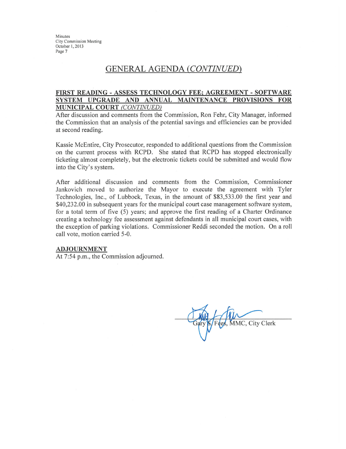# **GENERAL AGENDA (CONTINUED)**

#### FIRST READING - ASSESS TECHNOLOGY FEE; AGREEMENT - SOFTWARE SYSTEM UPGRADE AND ANNUAL MAINTENANCE PROVISIONS FOR **MUNICIPAL COURT (CONTINUED)**

After discussion and comments from the Commission, Ron Fehr, City Manager, informed the Commission that an analysis of the potential savings and efficiencies can be provided at second reading.

Kassie McEntire, City Prosecutor, responded to additional questions from the Commission on the current process with RCPD. She stated that RCPD has stopped electronically ticketing almost completely, but the electronic tickets could be submitted and would flow into the City's system.

After additional discussion and comments from the Commission, Commissioner Jankovich moved to authorize the Mayor to execute the agreement with Tyler Technologies, Inc., of Lubbock, Texas, in the amount of \$83,533.00 the first year and \$40,232.00 in subsequent years for the municipal court case management software system, for a total term of five (5) years; and approve the first reading of a Charter Ordinance creating a technology fee assessment against defendants in all municipal court cases, with the exception of parking violations. Commissioner Reddi seconded the motion. On a roll call vote, motion carried 5-0.

#### **ADJOURNMENT**

At 7:54 p.m., the Commission adjourned.

MMC, City Clerk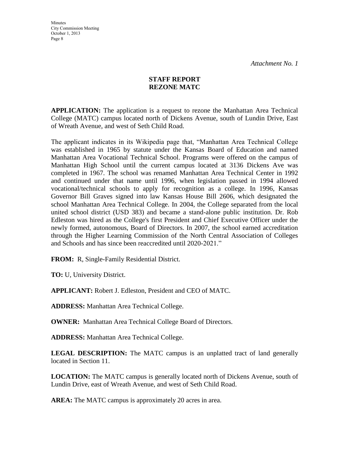## **STAFF REPORT REZONE MATC**

**APPLICATION:** The application is a request to rezone the Manhattan Area Technical College (MATC) campus located north of Dickens Avenue, south of Lundin Drive, East of Wreath Avenue, and west of Seth Child Road.

The applicant indicates in its Wikipedia page that, "Manhattan Area Technical College was established in 1965 by statute under the Kansas Board of Education and named Manhattan Area Vocational Technical School. Programs were offered on the campus of Manhattan High School until the current campus located at 3136 Dickens Ave was completed in 1967. The school was renamed Manhattan Area Technical Center in 1992 and continued under that name until 1996, when legislation passed in 1994 allowed vocational/technical schools to apply for recognition as a college. In 1996, Kansas Governor Bill Graves signed into law Kansas House Bill 2606, which designated the school Manhattan Area Technical College. In 2004, the College separated from the local united school district (USD 383) and became a stand-alone public institution. Dr. Rob Edleston was hired as the College's first President and Chief Executive Officer under the newly formed, autonomous, Board of Directors. In 2007, the school earned accreditation through the Higher Learning Commission of the North Central Association of Colleges and Schools and has since been reaccredited until 2020-2021."

**FROM:** R, Single-Family Residential District.

**TO:** U, University District.

**APPLICANT:** Robert J. Edleston, President and CEO of MATC.

**ADDRESS:** Manhattan Area Technical College.

**OWNER:** Manhattan Area Technical College Board of Directors.

**ADDRESS:** Manhattan Area Technical College.

**LEGAL DESCRIPTION:** The MATC campus is an unplatted tract of land generally located in Section 11.

**LOCATION:** The MATC campus is generally located north of Dickens Avenue, south of Lundin Drive, east of Wreath Avenue, and west of Seth Child Road.

**AREA:** The MATC campus is approximately 20 acres in area.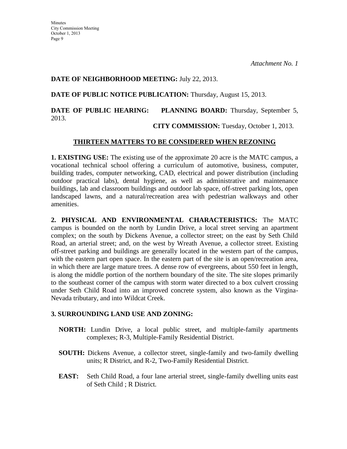### **DATE OF NEIGHBORHOOD MEETING:** July 22, 2013.

**DATE OF PUBLIC NOTICE PUBLICATION:** Thursday, August 15, 2013.

# **DATE OF PUBLIC HEARING: PLANNING BOARD:** Thursday, September 5, 2013.

**CITY COMMISSION:** Tuesday, October 1, 2013.

## **THIRTEEN MATTERS TO BE CONSIDERED WHEN REZONING**

**1. EXISTING USE:** The existing use of the approximate 20 acre is the MATC campus, a vocational technical school offering a curriculum of automotive, business, computer, building trades, computer networking, CAD, electrical and power distribution (including outdoor practical labs), dental hygiene, as well as administrative and maintenance buildings, lab and classroom buildings and outdoor lab space, off-street parking lots, open landscaped lawns, and a natural/recreation area with pedestrian walkways and other amenities.

**2. PHYSICAL AND ENVIRONMENTAL CHARACTERISTICS:** The MATC campus is bounded on the north by Lundin Drive, a local street serving an apartment complex; on the south by Dickens Avenue, a collector street; on the east by Seth Child Road, an arterial street; and, on the west by Wreath Avenue, a collector street. Existing off-street parking and buildings are generally located in the western part of the campus, with the eastern part open space. In the eastern part of the site is an open/recreation area, in which there are large mature trees. A dense row of evergreens, about 550 feet in length, is along the middle portion of the northern boundary of the site. The site slopes primarily to the southeast corner of the campus with storm water directed to a box culvert crossing under Seth Child Road into an improved concrete system, also known as the Virgina-Nevada tributary, and into Wildcat Creek.

# **3. SURROUNDING LAND USE AND ZONING:**

- **NORTH:** Lundin Drive, a local public street, and multiple-family apartments complexes; R-3, Multiple-Family Residential District.
- **SOUTH:** Dickens Avenue, a collector street, single-family and two-family dwelling units; R District, and R-2, Two-Family Residential District.
- **EAST:** Seth Child Road, a four lane arterial street, single-family dwelling units east of Seth Child ; R District.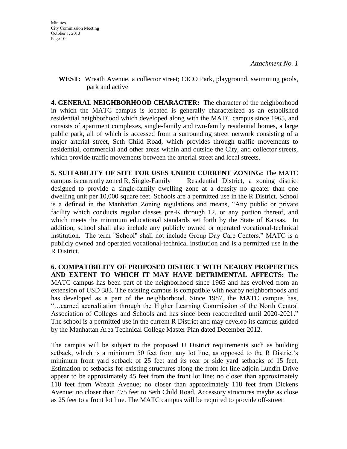**WEST:** Wreath Avenue, a collector street; CICO Park, playground, swimming pools, park and active

**4. GENERAL NEIGHBORHOOD CHARACTER:** The character of the neighborhood in which the MATC campus is located is generally characterized as an established residential neighborhood which developed along with the MATC campus since 1965, and consists of apartment complexes, single-family and two-family residential homes, a large public park, all of which is accessed from a surrounding street network consisting of a major arterial street, Seth Child Road, which provides through traffic movements to residential, commercial and other areas within and outside the City, and collector streets, which provide traffic movements between the arterial street and local streets.

**5. SUITABILITY OF SITE FOR USES UNDER CURRENT ZONING:** The MATC campus is currently zoned R, Single-Family Residential District, a zoning district designed to provide a single-family dwelling zone at a density no greater than one dwelling unit per 10,000 square feet. Schools are a permitted use in the R District. School is a defined in the Manhattan Zoning regulations and means, "Any public or private facility which conducts regular classes pre-K through 12, or any portion thereof, and which meets the minimum educational standards set forth by the State of Kansas. In addition, school shall also include any publicly owned or operated vocational-technical institution. The term "School" shall not include Group Day Care Centers." MATC is a publicly owned and operated vocational-technical institution and is a permitted use in the R District.

**6. COMPATIBILITY OF PROPOSED DISTRICT WITH NEARBY PROPERTIES AND EXTENT TO WHICH IT MAY HAVE DETRIMENTAL AFFECTS:** The MATC campus has been part of the neighborhood since 1965 and has evolved from an extension of USD 383. The existing campus is compatible with nearby neighborhoods and has developed as a part of the neighborhood. Since 1987, the MATC campus has, "…earned accreditation through the Higher Learning Commission of the North Central Association of Colleges and Schools and has since been reaccredited until 2020-2021." The school is a permitted use in the current R District and may develop its campus guided by the Manhattan Area Technical College Master Plan dated December 2012.

The campus will be subject to the proposed U District requirements such as building setback, which is a minimum 50 feet from any lot line, as opposed to the R District's minimum front yard setback of 25 feet and its rear or side yard setbacks of 15 feet. Estimation of setbacks for existing structures along the front lot line adjoin Lundin Drive appear to be approximately 45 feet from the front lot line; no closer than approximately 110 feet from Wreath Avenue; no closer than approximately 118 feet from Dickens Avenue; no closer than 475 feet to Seth Child Road. Accessory structures maybe as close as 25 feet to a front lot line. The MATC campus will be required to provide off-street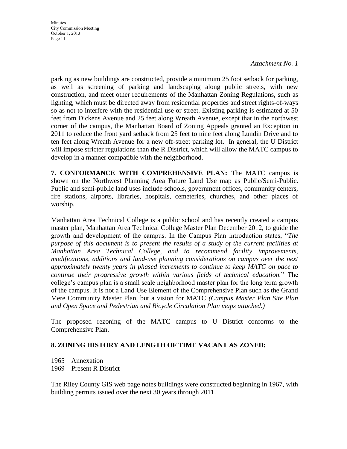*Attachment No. 1*

parking as new buildings are constructed, provide a minimum 25 foot setback for parking, as well as screening of parking and landscaping along public streets, with new construction, and meet other requirements of the Manhattan Zoning Regulations, such as lighting, which must be directed away from residential properties and street rights-of-ways so as not to interfere with the residential use or street. Existing parking is estimated at 50 feet from Dickens Avenue and 25 feet along Wreath Avenue, except that in the northwest corner of the campus, the Manhattan Board of Zoning Appeals granted an Exception in 2011 to reduce the front yard setback from 25 feet to nine feet along Lundin Drive and to ten feet along Wreath Avenue for a new off-street parking lot. In general, the U District will impose stricter regulations than the R District, which will allow the MATC campus to develop in a manner compatible with the neighborhood.

**7. CONFORMANCE WITH COMPREHENSIVE PLAN:** The MATC campus is shown on the Northwest Planning Area Future Land Use map as Public/Semi-Public. Public and semi-public land uses include schools, government offices, community centers, fire stations, airports, libraries, hospitals, cemeteries, churches, and other places of worship.

Manhattan Area Technical College is a public school and has recently created a campus master plan, Manhattan Area Technical College Master Plan December 2012, to guide the growth and development of the campus. In the Campus Plan introduction states, "*The purpose of this document is to present the results of a study of the current facilities at Manhattan Area Technical College, and to recommend facility improvements, modifications, additions and land-use planning considerations on campus over the next approximately twenty years in phased increments to continue to keep MATC on pace to continue their progressive growth within various fields of technical education.*" The college's campus plan is a small scale neighborhood master plan for the long term growth of the campus. It is not a Land Use Element of the Comprehensive Plan such as the Grand Mere Community Master Plan, but a vision for MATC *(Campus Master Plan Site Plan and Open Space and Pedestrian and Bicycle Circulation Plan maps attached.)*

The proposed rezoning of the MATC campus to U District conforms to the Comprehensive Plan.

# **8. ZONING HISTORY AND LENGTH OF TIME VACANT AS ZONED:**

1965 – Annexation 1969 – Present R District

The Riley County GIS web page notes buildings were constructed beginning in 1967, with building permits issued over the next 30 years through 2011.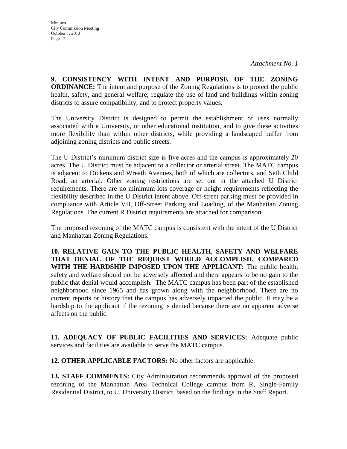**9. CONSISTENCY WITH INTENT AND PURPOSE OF THE ZONING ORDINANCE:** The intent and purpose of the Zoning Regulations is to protect the public health, safety, and general welfare; regulate the use of land and buildings within zoning districts to assure compatibility; and to protect property values.

The University District is designed to permit the establishment of uses normally associated with a University, or other educational institution, and to give these activities more flexibility than within other districts, while providing a landscaped buffer from adjoining zoning districts and public streets.

The U District's minimum district size is five acres and the campus is approximately 20 acres. The U District must be adjacent to a collector or arterial street. The MATC campus is adjacent to Dickens and Wreath Avenues, both of which are collectors, and Seth Child Road, an arterial. Other zoning restrictions are set out in the attached U District requirements. There are no minimum lots coverage or height requirements reflecting the flexibility described in the U District intent above. Off-street parking must be provided in compliance with Article VII, Off-Street Parking and Loading, of the Manhattan Zoning Regulations. The current R District requirements are attached for comparison.

The proposed rezoning of the MATC campus is consistent with the intent of the U District and Manhattan Zoning Regulations.

**10. RELATIVE GAIN TO THE PUBLIC HEALTH, SAFETY AND WELFARE THAT DENIAL OF THE REQUEST WOULD ACCOMPLISH, COMPARED WITH THE HARDSHIP IMPOSED UPON THE APPLICANT:** The public health, safety and welfare should not be adversely affected and there appears to be no gain to the public that denial would accomplish. The MATC campus has been part of the established neighborhood since 1965 and has grown along with the neighborhood. There are no current reports or history that the campus has adversely impacted the public. It may be a hardship to the applicant if the rezoning is denied because there are no apparent adverse affects on the public.

**11. ADEQUACY OF PUBLIC FACILITIES AND SERVICES:** Adequate public services and facilities are available to serve the MATC campus.

**12. OTHER APPLICABLE FACTORS:** No other factors are applicable.

**13. STAFF COMMENTS:** City Administration recommends approval of the proposed rezoning of the Manhattan Area Technical College campus from R, Single-Family Residential District, to U, University District, based on the findings in the Staff Report.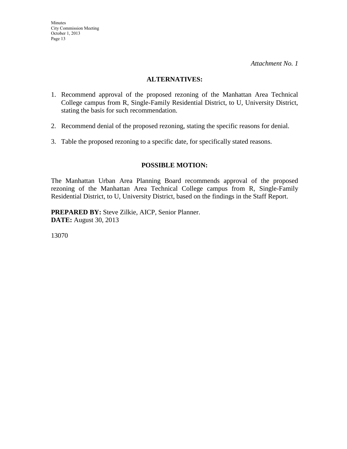#### **ALTERNATIVES:**

- 1. Recommend approval of the proposed rezoning of the Manhattan Area Technical College campus from R, Single-Family Residential District, to U, University District, stating the basis for such recommendation.
- 2. Recommend denial of the proposed rezoning, stating the specific reasons for denial.
- 3. Table the proposed rezoning to a specific date, for specifically stated reasons.

## **POSSIBLE MOTION:**

The Manhattan Urban Area Planning Board recommends approval of the proposed rezoning of the Manhattan Area Technical College campus from R, Single-Family Residential District, to U, University District, based on the findings in the Staff Report.

**PREPARED BY:** Steve Zilkie, AICP, Senior Planner. **DATE:** August 30, 2013

13070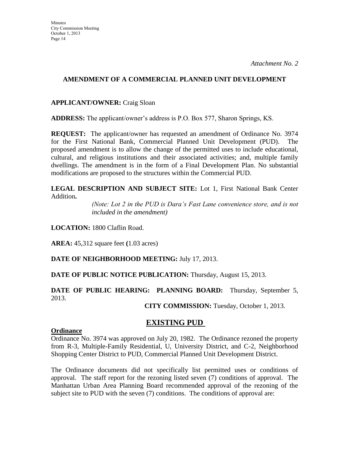### **AMENDMENT OF A COMMERCIAL PLANNED UNIT DEVELOPMENT**

### **APPLICANT/OWNER:** Craig Sloan

**ADDRESS:** The applicant/owner's address is P.O. Box 577, Sharon Springs, KS.

**REQUEST:** The applicant/owner has requested an amendment of Ordinance No. 3974 for the First National Bank, Commercial Planned Unit Development (PUD). The proposed amendment is to allow the change of the permitted uses to include educational, cultural, and religious institutions and their associated activities; and, multiple family dwellings. The amendment is in the form of a Final Development Plan. No substantial modifications are proposed to the structures within the Commercial PUD.

**LEGAL DESCRIPTION AND SUBJECT SITE:** Lot 1, First National Bank Center Addition**.**

> *(Note: Lot 2 in the PUD is Dara's Fast Lane convenience store, and is not included in the amendment)*

**LOCATION:** 1800 Claflin Road.

**AREA:** 45,312 square feet **(**1.03 acres)

**DATE OF NEIGHBORHOOD MEETING:** July 17, 2013.

**DATE OF PUBLIC NOTICE PUBLICATION:** Thursday, August 15, 2013.

## **DATE OF PUBLIC HEARING: PLANNING BOARD:** Thursday, September 5, 2013.

**CITY COMMISSION:** Tuesday, October 1, 2013.

# **EXISTING PUD**

#### **Ordinance**

Ordinance No. 3974 was approved on July 20, 1982. The Ordinance rezoned the property from R-3, Multiple-Family Residential, U, University District, and C-2, Neighborhood Shopping Center District to PUD, Commercial Planned Unit Development District.

The Ordinance documents did not specifically list permitted uses or conditions of approval. The staff report for the rezoning listed seven (7) conditions of approval. The Manhattan Urban Area Planning Board recommended approval of the rezoning of the subject site to PUD with the seven (7) conditions. The conditions of approval are: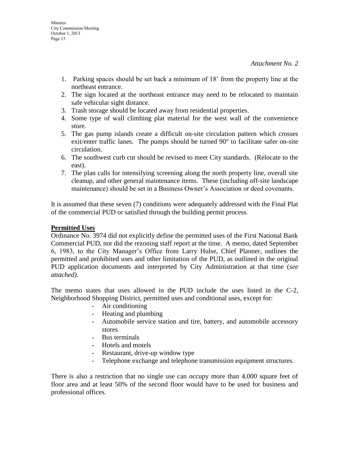- 1. Parking spaces should be set back a minimum of 18' from the property line at the northeast entrance.
- 2. The sign located at the northeast entrance may need to be relocated to maintain safe vehicular sight distance.
- 3. Trash storage should be located away from residential properties.
- 4. Some type of wall climbing plat material for the west wall of the convenience store.
- 5. The gas pump islands create a difficult on-site circulation pattern which crosses exit/enter traffic lanes. The pumps should be turned 90° to facilitate safer on-site circulation.
- 6. The southwest curb cut should be revised to meet City standards. (Relocate to the east).
- 7. The plan calls for intensifying screening along the north property line, overall site cleanup, and other general maintenance items. These (including off-site landscape maintenance) should be set in a Business Owner's Association or deed covenants.

It is assumed that these seven (7) conditions were adequately addressed with the Final Plat of the commercial PUD or satisfied through the building permit process.

#### **Permitted Uses**

Ordinance No. 3974 did not explicitly define the permitted uses of the First National Bank Commercial PUD, nor did the rezoning staff report at the time. A memo, dated September 6, 1983, to the City Manager's Office from Larry Hulse, Chief Planner, outlines the permitted and prohibited uses and other limitation of the PUD, as outlined in the original PUD application documents and interpreted by City Administration at that time (*see attached)*.

The memo states that uses allowed in the PUD include the uses listed in the C-2, Neighborhood Shopping District, permitted uses and conditional uses, except for:

- Air conditioning
- Heating and plumbing
- Automobile service station and tire, battery, and automobile accessory stores
- Bus terminals
- Hotels and motels
- Restaurant, drive-up window type
- Telephone exchange and telephone transmission equipment structures.

There is also a restriction that no single use can occupy more than 4,000 square feet of floor area and at least 50% of the second floor would have to be used for business and professional offices.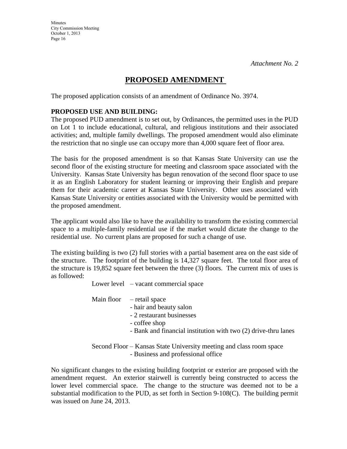# **PROPOSED AMENDMENT**

The proposed application consists of an amendment of Ordinance No. 3974.

## **PROPOSED USE AND BUILDING:**

The proposed PUD amendment is to set out, by Ordinances, the permitted uses in the PUD on Lot 1 to include educational, cultural, and religious institutions and their associated activities; and, multiple family dwellings. The proposed amendment would also eliminate the restriction that no single use can occupy more than 4,000 square feet of floor area.

The basis for the proposed amendment is so that Kansas State University can use the second floor of the existing structure for meeting and classroom space associated with the University. Kansas State University has begun renovation of the second floor space to use it as an English Laboratory for student learning or improving their English and prepare them for their academic career at Kansas State University. Other uses associated with Kansas State University or entities associated with the University would be permitted with the proposed amendment.

The applicant would also like to have the availability to transform the existing commercial space to a multiple-family residential use if the market would dictate the change to the residential use. No current plans are proposed for such a change of use.

The existing building is two (2) full stories with a partial basement area on the east side of the structure. The footprint of the building is 14,327 square feet. The total floor area of the structure is 19,852 square feet between the three (3) floors. The current mix of uses is as followed:

Lower level – vacant commercial space

Main floor – retail space

- hair and beauty salon
- 2 restaurant businesses
- coffee shop
- Bank and financial institution with two (2) drive-thru lanes

Second Floor – Kansas State University meeting and class room space - Business and professional office

No significant changes to the existing building footprint or exterior are proposed with the amendment request. An exterior stairwell is currently being constructed to access the lower level commercial space. The change to the structure was deemed not to be a substantial modification to the PUD, as set forth in Section 9-108(C). The building permit was issued on June 24, 2013.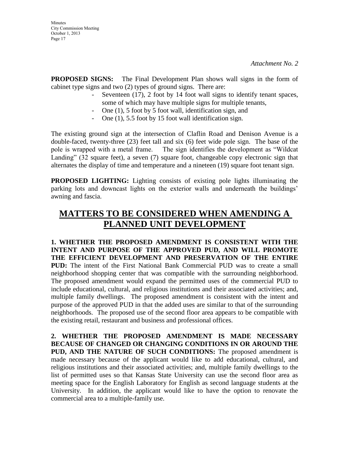**PROPOSED SIGNS:** The Final Development Plan shows wall signs in the form of cabinet type signs and two (2) types of ground signs. There are:

- Seventeen (17), 2 foot by 14 foot wall signs to identify tenant spaces, some of which may have multiple signs for multiple tenants,
- One (1), 5 foot by 5 foot wall, identification sign, and
- One (1), 5.5 foot by 15 foot wall identification sign.

The existing ground sign at the intersection of Claflin Road and Denison Avenue is a double-faced, twenty-three (23) feet tall and six (6) feet wide pole sign. The base of the pole is wrapped with a metal frame. The sign identifies the development as "Wildcat Landing" (32 square feet), a seven (7) square foot, changeable copy electronic sign that alternates the display of time and temperature and a nineteen (19) square foot tenant sign.

**PROPOSED LIGHTING:** Lighting consists of existing pole lights illuminating the parking lots and downcast lights on the exterior walls and underneath the buildings' awning and fascia.

# **MATTERS TO BE CONSIDERED WHEN AMENDING A PLANNED UNIT DEVELOPMENT**

**1. WHETHER THE PROPOSED AMENDMENT IS CONSISTENT WITH THE INTENT AND PURPOSE OF THE APPROVED PUD, AND WILL PROMOTE THE EFFICIENT DEVELOPMENT AND PRESERVATION OF THE ENTIRE PUD:** The intent of the First National Bank Commercial PUD was to create a small neighborhood shopping center that was compatible with the surrounding neighborhood. The proposed amendment would expand the permitted uses of the commercial PUD to include educational, cultural, and religious institutions and their associated activities; and, multiple family dwellings. The proposed amendment is consistent with the intent and purpose of the approved PUD in that the added uses are similar to that of the surrounding neighborhoods. The proposed use of the second floor area appears to be compatible with the existing retail, restaurant and business and professional offices.

**2. WHETHER THE PROPOSED AMENDMENT IS MADE NECESSARY BECAUSE OF CHANGED OR CHANGING CONDITIONS IN OR AROUND THE PUD, AND THE NATURE OF SUCH CONDITIONS:** The proposed amendment is made necessary because of the applicant would like to add educational, cultural, and religious institutions and their associated activities; and, multiple family dwellings to the list of permitted uses so that Kansas State University can use the second floor area as meeting space for the English Laboratory for English as second language students at the University. In addition, the applicant would like to have the option to renovate the commercial area to a multiple-family use.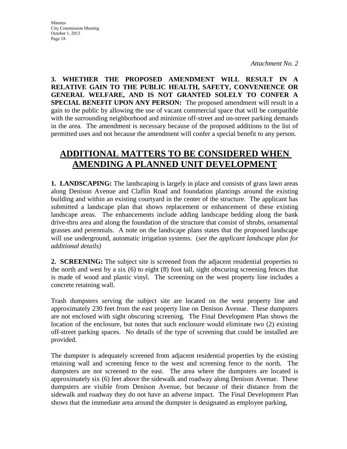**3. WHETHER THE PROPOSED AMENDMENT WILL RESULT IN A RELATIVE GAIN TO THE PUBLIC HEALTH, SAFETY, CONVENIENCE OR GENERAL WELFARE, AND IS NOT GRANTED SOLELY TO CONFER A SPECIAL BENEFIT UPON ANY PERSON:** The proposed amendment will result in a gain to the public by allowing the use of vacant commercial space that will be compatible with the surrounding neighborhood and minimize off-street and on-street parking demands in the area. The amendment is necessary because of the proposed additions to the list of permitted uses and not because the amendment will confer a special benefit to any person.

# **ADDITIONAL MATTERS TO BE CONSIDERED WHEN AMENDING A PLANNED UNIT DEVELOPMENT**

**1. LANDSCAPING:** The landscaping is largely in place and consists of grass lawn areas along Denison Avenue and Claflin Road and foundation plantings around the existing building and within an existing courtyard in the center of the structure. The applicant has submitted a landscape plan that shows replacement or enhancement of these existing landscape areas. The enhancements include adding landscape bedding along the bank drive-thru area and along the foundation of the structure that consist of shrubs, ornamental grasses and perennials. A note on the landscape plans states that the proposed landscape will use underground, automatic irrigation systems. (*see the applicant landscape plan for additional details)*

**2. SCREENING:** The subject site is screened from the adjacent residential properties to the north and west by a six (6) to eight (8) foot tall, sight obscuring screening fences that is made of wood and plastic vinyl. The screening on the west property line includes a concrete retaining wall.

Trash dumpsters serving the subject site are located on the west property line and approximately 230 feet from the east property line on Denison Avenue. These dumpsters are not enclosed with sight obscuring screening. The Final Development Plan shows the location of the enclosure, but notes that such enclosure would eliminate two (2) existing off-street parking spaces. No details of the type of screening that could be installed are provided.

The dumpster is adequately screened from adjacent residential properties by the existing retaining wall and screening fence to the west and screening fence to the north. The dumpsters are not screened to the east. The area where the dumpsters are located is approximately six (6) feet above the sidewalk and roadway along Denison Avenue. These dumpsters are visible from Denison Avenue, but because of their distance from the sidewalk and roadway they do not have an adverse impact. The Final Development Plan shows that the immediate area around the dumpster is designated as employee parking,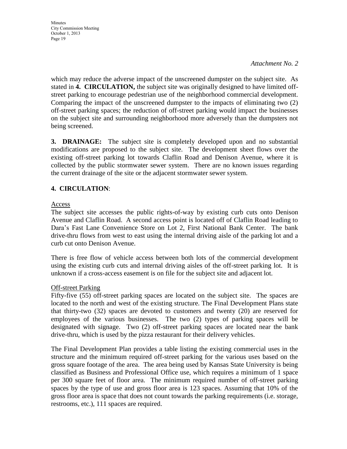#### *Attachment No. 2*

which may reduce the adverse impact of the unscreened dumpster on the subject site. As stated in **4. CIRCULATION,** the subject site was originally designed to have limited offstreet parking to encourage pedestrian use of the neighborhood commercial development. Comparing the impact of the unscreened dumpster to the impacts of eliminating two (2) off-street parking spaces; the reduction of off-street parking would impact the businesses on the subject site and surrounding neighborhood more adversely than the dumpsters not being screened.

**3. DRAINAGE:** The subject site is completely developed upon and no substantial modifications are proposed to the subject site. The development sheet flows over the existing off-street parking lot towards Claflin Road and Denison Avenue, where it is collected by the public stormwater sewer system. There are no known issues regarding the current drainage of the site or the adjacent stormwater sewer system.

## **4. CIRCULATION**:

### Access

The subject site accesses the public rights-of-way by existing curb cuts onto Denison Avenue and Claflin Road. A second access point is located off of Claflin Road leading to Dara's Fast Lane Convenience Store on Lot 2, First National Bank Center. The bank drive-thru flows from west to east using the internal driving aisle of the parking lot and a curb cut onto Denison Avenue.

There is free flow of vehicle access between both lots of the commercial development using the existing curb cuts and internal driving aisles of the off-street parking lot. It is unknown if a cross-access easement is on file for the subject site and adjacent lot.

#### Off-street Parking

Fifty-five (55) off-street parking spaces are located on the subject site. The spaces are located to the north and west of the existing structure. The Final Development Plans state that thirty-two (32) spaces are devoted to customers and twenty (20) are reserved for employees of the various businesses. The two (2) types of parking spaces will be designated with signage. Two (2) off-street parking spaces are located near the bank drive-thru, which is used by the pizza restaurant for their delivery vehicles.

The Final Development Plan provides a table listing the existing commercial uses in the structure and the minimum required off-street parking for the various uses based on the gross square footage of the area. The area being used by Kansas State University is being classified as Business and Professional Office use, which requires a minimum of 1 space per 300 square feet of floor area. The minimum required number of off-street parking spaces by the type of use and gross floor area is 123 spaces. Assuming that 10% of the gross floor area is space that does not count towards the parking requirements (i.e. storage, restrooms, etc.), 111 spaces are required.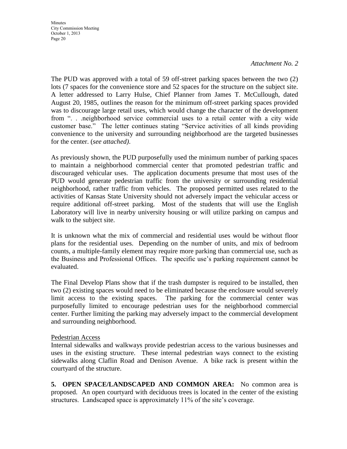#### *Attachment No. 2*

The PUD was approved with a total of 59 off-street parking spaces between the two (2) lots (7 spaces for the convenience store and 52 spaces for the structure on the subject site. A letter addressed to Larry Hulse, Chief Planner from James T. McCullough, dated August 20, 1985, outlines the reason for the minimum off-street parking spaces provided was to discourage large retail uses, which would change the character of the development from ". . .neighborhood service commercial uses to a retail center with a city wide customer base." The letter continues stating "Service activities of all kinds providing convenience to the university and surrounding neighborhood are the targeted businesses for the center. (*see attached)*.

As previously shown, the PUD purposefully used the minimum number of parking spaces to maintain a neighborhood commercial center that promoted pedestrian traffic and discouraged vehicular uses. The application documents presume that most uses of the PUD would generate pedestrian traffic from the university or surrounding residential neighborhood, rather traffic from vehicles. The proposed permitted uses related to the activities of Kansas State University should not adversely impact the vehicular access or require additional off-street parking. Most of the students that will use the English Laboratory will live in nearby university housing or will utilize parking on campus and walk to the subject site.

It is unknown what the mix of commercial and residential uses would be without floor plans for the residential uses. Depending on the number of units, and mix of bedroom counts, a multiple-family element may require more parking than commercial use, such as the Business and Professional Offices. The specific use's parking requirement cannot be evaluated.

The Final Develop Plans show that if the trash dumpster is required to be installed, then two (2) existing spaces would need to be eliminated because the enclosure would severely limit access to the existing spaces. The parking for the commercial center was purposefully limited to encourage pedestrian uses for the neighborhood commercial center. Further limiting the parking may adversely impact to the commercial development and surrounding neighborhood.

#### Pedestrian Access

Internal sidewalks and walkways provide pedestrian access to the various businesses and uses in the existing structure. These internal pedestrian ways connect to the existing sidewalks along Claflin Road and Denison Avenue. A bike rack is present within the courtyard of the structure.

**5. OPEN SPACE/LANDSCAPED AND COMMON AREA:** No common area is proposed. An open courtyard with deciduous trees is located in the center of the existing structures. Landscaped space is approximately 11% of the site's coverage.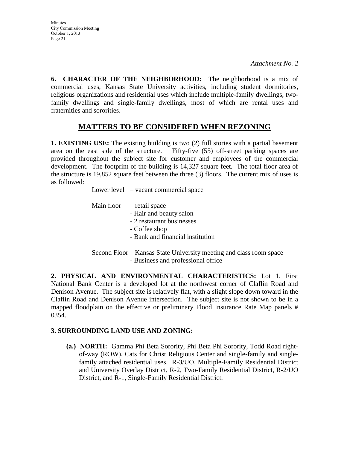**Minutes** City Commission Meeting October 1, 2013 Page 21

**6. CHARACTER OF THE NEIGHBORHOOD:** The neighborhood is a mix of commercial uses, Kansas State University activities, including student dormitories, religious organizations and residential uses which include multiple-family dwellings, twofamily dwellings and single-family dwellings, most of which are rental uses and fraternities and sororities.

# **MATTERS TO BE CONSIDERED WHEN REZONING**

**1. EXISTING USE:** The existing building is two (2) full stories with a partial basement area on the east side of the structure. Fifty-five (55) off-street parking spaces are provided throughout the subject site for customer and employees of the commercial development. The footprint of the building is 14,327 square feet. The total floor area of the structure is 19,852 square feet between the three (3) floors. The current mix of uses is as followed:

Lower level – vacant commercial space

| Main floor $-$ retail space |                                           |
|-----------------------------|-------------------------------------------|
|                             |                                           |
|                             | - Hair and beauty salon                   |
|                             | - 2 restaurant businesses                 |
|                             | - Coffee shop                             |
|                             | - Bank and financial institution          |
|                             |                                           |
|                             | Cocond Floor Vances State University most |

Second Floor – Kansas State University meeting and class room space - Business and professional office

**2. PHYSICAL AND ENVIRONMENTAL CHARACTERISTICS:** Lot 1, First National Bank Center is a developed lot at the northwest corner of Claflin Road and Denison Avenue. The subject site is relatively flat, with a slight slope down toward in the Claflin Road and Denison Avenue intersection. The subject site is not shown to be in a mapped floodplain on the effective or preliminary Flood Insurance Rate Map panels # 0354.

## **3. SURROUNDING LAND USE AND ZONING:**

**(a.) NORTH:** Gamma Phi Beta Sorority, Phi Beta Phi Sorority, Todd Road rightof-way (ROW), Cats for Christ Religious Center and single-family and singlefamily attached residential uses. R-3/UO, Multiple-Family Residential District and University Overlay District, R-2, Two-Family Residential District, R-2/UO District, and R-1, Single-Family Residential District.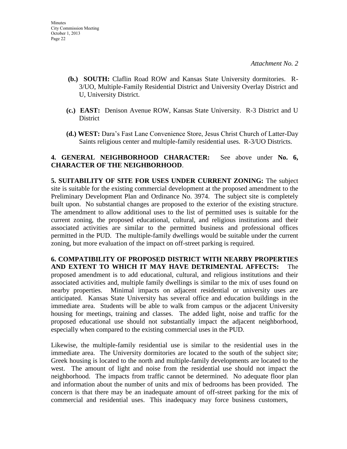- **(b.) SOUTH:** Claflin Road ROW and Kansas State University dormitories. R-3/UO, Multiple-Family Residential District and University Overlay District and U, University District.
- **(c.) EAST:** Denison Avenue ROW, Kansas State University. R-3 District and U District
- **(d.) WEST:** Dara's Fast Lane Convenience Store, Jesus Christ Church of Latter-Day Saints religious center and multiple-family residential uses. R-3/UO Districts.

## **4. GENERAL NEIGHBORHOOD CHARACTER:** See above under **No. 6, CHARACTER OF THE NEIGHBORHOOD**.

**5. SUITABILITY OF SITE FOR USES UNDER CURRENT ZONING:** The subject site is suitable for the existing commercial development at the proposed amendment to the Preliminary Development Plan and Ordinance No. 3974. The subject site is completely built upon. No substantial changes are proposed to the exterior of the existing structure. The amendment to allow additional uses to the list of permitted uses is suitable for the current zoning, the proposed educational, cultural, and religious institutions and their associated activities are similar to the permitted business and professional offices permitted in the PUD. The multiple-family dwellings would be suitable under the current zoning, but more evaluation of the impact on off-street parking is required.

**6. COMPATIBILITY OF PROPOSED DISTRICT WITH NEARBY PROPERTIES AND EXTENT TO WHICH IT MAY HAVE DETRIMENTAL AFFECTS:** The proposed amendment is to add educational, cultural, and religious institutions and their associated activities and, multiple family dwellings is similar to the mix of uses found on nearby properties. Minimal impacts on adjacent residential or university uses are anticipated. Kansas State University has several office and education buildings in the immediate area. Students will be able to walk from campus or the adjacent University housing for meetings, training and classes. The added light, noise and traffic for the proposed educational use should not substantially impact the adjacent neighborhood, especially when compared to the existing commercial uses in the PUD.

Likewise, the multiple-family residential use is similar to the residential uses in the immediate area. The University dormitories are located to the south of the subject site; Greek housing is located to the north and multiple-family developments are located to the west. The amount of light and noise from the residential use should not impact the neighborhood. The impacts from traffic cannot be determined. No adequate floor plan and information about the number of units and mix of bedrooms has been provided. The concern is that there may be an inadequate amount of off-street parking for the mix of commercial and residential uses. This inadequacy may force business customers,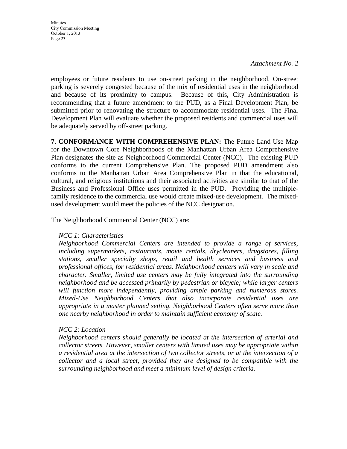*Attachment No. 2*

employees or future residents to use on-street parking in the neighborhood. On-street parking is severely congested because of the mix of residential uses in the neighborhood and because of its proximity to campus. Because of this, City Administration is recommending that a future amendment to the PUD, as a Final Development Plan, be submitted prior to renovating the structure to accommodate residential uses. The Final Development Plan will evaluate whether the proposed residents and commercial uses will be adequately served by off-street parking.

**7. CONFORMANCE WITH COMPREHENSIVE PLAN:** The Future Land Use Map for the Downtown Core Neighborhoods of the Manhattan Urban Area Comprehensive Plan designates the site as Neighborhood Commercial Center (NCC). The existing PUD conforms to the current Comprehensive Plan. The proposed PUD amendment also conforms to the Manhattan Urban Area Comprehensive Plan in that the educational, cultural, and religious institutions and their associated activities are similar to that of the Business and Professional Office uses permitted in the PUD. Providing the multiplefamily residence to the commercial use would create mixed-use development. The mixedused development would meet the policies of the NCC designation.

The Neighborhood Commercial Center (NCC) are:

#### *NCC 1: Characteristics*

*Neighborhood Commercial Centers are intended to provide a range of services, including supermarkets, restaurants, movie rentals, drycleaners, drugstores, filling stations, smaller specialty shops, retail and health services and business and professional offices, for residential areas. Neighborhood centers will vary in scale and character. Smaller, limited use centers may be fully integrated into the surrounding neighborhood and be accessed primarily by pedestrian or bicycle; while larger centers will function more independently, providing ample parking and numerous stores. Mixed-Use Neighborhood Centers that also incorporate residential uses are appropriate in a master planned setting. Neighborhood Centers often serve more than one nearby neighborhood in order to maintain sufficient economy of scale.* 

## *NCC 2: Location*

*Neighborhood centers should generally be located at the intersection of arterial and collector streets. However, smaller centers with limited uses may be appropriate within a residential area at the intersection of two collector streets, or at the intersection of a collector and a local street, provided they are designed to be compatible with the surrounding neighborhood and meet a minimum level of design criteria.*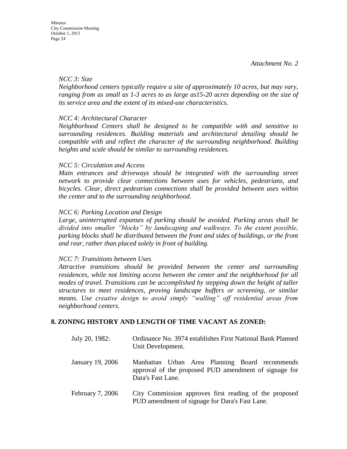#### *NCC 3: Size*

*Neighborhood centers typically require a site of approximately 10 acres, but may vary, ranging from as small as 1-3 acres to as large as15-20 acres depending on the size of its service area and the extent of its mixed-use characteristics.* 

#### *NCC 4: Architectural Character*

*Neighborhood Centers shall be designed to be compatible with and sensitive to surrounding residences. Building materials and architectural detailing should be compatible with and reflect the character of the surrounding neighborhood. Building heights and scale should be similar to surrounding residences.*

#### *NCC 5: Circulation and Access*

*Main entrances and driveways should be integrated with the surrounding street network to provide clear connections between uses for vehicles, pedestrians, and bicycles. Clear, direct pedestrian connections shall be provided between uses within the center and to the surrounding neighborhood.* 

#### *NCC 6: Parking Location and Design*

*Large, uninterrupted expanses of parking should be avoided. Parking areas shall be divided into smaller "blocks" by landscaping and walkways. To the extent possible, parking blocks shall be distributed between the front and sides of buildings, or the front and rear, rather than placed solely in front of building.* 

#### *NCC 7: Transitions between Uses*

*Attractive transitions should be provided between the center and surrounding residences, while not limiting access between the center and the neighborhood for all modes of travel. Transitions can be accomplished by stepping down the height of taller structures to meet residences, proving landscape buffers or screening, or similar means. Use creative design to avoid simply "walling" off residential areas from neighborhood centers.*

#### **8. ZONING HISTORY AND LENGTH OF TIME VACANT AS ZONED:**

| July 20, 1982:   | Ordinance No. 3974 establishes First National Bank Planned<br>Unit Development.                                              |
|------------------|------------------------------------------------------------------------------------------------------------------------------|
| January 19, 2006 | Manhattan Urban Area Planning Board recommends<br>approval of the proposed PUD amendment of signage for<br>Dara's Fast Lane. |
| February 7, 2006 | City Commission approves first reading of the proposed<br>PUD amendment of signage for Dara's Fast Lane.                     |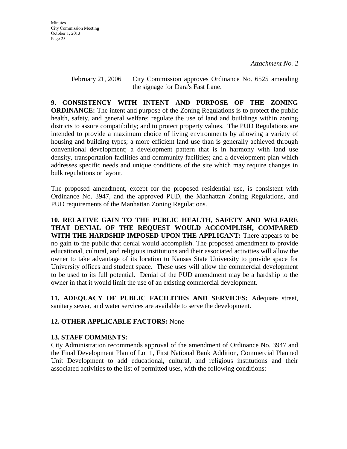February 21, 2006 City Commission approves Ordinance No. 6525 amending the signage for Dara's Fast Lane.

**9. CONSISTENCY WITH INTENT AND PURPOSE OF THE ZONING ORDINANCE:** The intent and purpose of the Zoning Regulations is to protect the public health, safety, and general welfare; regulate the use of land and buildings within zoning districts to assure compatibility; and to protect property values. The PUD Regulations are intended to provide a maximum choice of living environments by allowing a variety of housing and building types; a more efficient land use than is generally achieved through conventional development; a development pattern that is in harmony with land use density, transportation facilities and community facilities; and a development plan which addresses specific needs and unique conditions of the site which may require changes in bulk regulations or layout.

The proposed amendment, except for the proposed residential use, is consistent with Ordinance No. 3947, and the approved PUD, the Manhattan Zoning Regulations, and PUD requirements of the Manhattan Zoning Regulations.

**10. RELATIVE GAIN TO THE PUBLIC HEALTH, SAFETY AND WELFARE THAT DENIAL OF THE REQUEST WOULD ACCOMPLISH, COMPARED WITH THE HARDSHIP IMPOSED UPON THE APPLICANT:** There appears to be no gain to the public that denial would accomplish. The proposed amendment to provide educational, cultural, and religious institutions and their associated activities will allow the owner to take advantage of its location to Kansas State University to provide space for University offices and student space. These uses will allow the commercial development to be used to its full potential. Denial of the PUD amendment may be a hardship to the owner in that it would limit the use of an existing commercial development.

**11. ADEQUACY OF PUBLIC FACILITIES AND SERVICES:** Adequate street, sanitary sewer, and water services are available to serve the development.

## **12. OTHER APPLICABLE FACTORS:** None

## **13. STAFF COMMENTS:**

City Administration recommends approval of the amendment of Ordinance No. 3947 and the Final Development Plan of Lot 1, First National Bank Addition, Commercial Planned Unit Development to add educational, cultural, and religious institutions and their associated activities to the list of permitted uses, with the following conditions: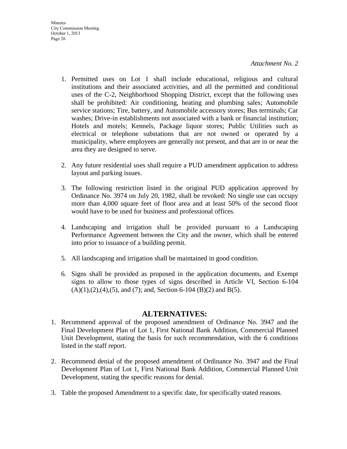- 1. Permitted uses on Lot 1 shall include educational, religious and cultural institutions and their associated activities, and all the permitted and conditional uses of the C-2, Neighborhood Shopping District, except that the following uses shall be prohibited: Air conditioning, heating and plumbing sales; Automobile service stations; Tire, battery, and Automobile accessory stores; Bus terminals; Car washes; Drive-in establishments not associated with a bank or financial institution; Hotels and motels; Kennels, Package liquor stores; Public Utilities such as electrical or telephone substations that are not owned or operated by a municipality, where employees are generally not present, and that are in or near the area they are designed to serve.
- 2. Any future residential uses shall require a PUD amendment application to address layout and parking issues.
- 3. The following restriction listed in the original PUD application approved by Ordinance No. 3974 on July 20, 1982, shall be revoked: No single use can occupy more than 4,000 square feet of floor area and at least 50% of the second floor would have to be used for business and professional offices.
- 4. Landscaping and irrigation shall be provided pursuant to a Landscaping Performance Agreement between the City and the owner, which shall be entered into prior to issuance of a building permit.
- 5. All landscaping and irrigation shall be maintained in good condition.
- 6. Signs shall be provided as proposed in the application documents, and Exempt signs to allow to those types of signs described in Article VI, Section 6-104  $(A)(1), (2), (4), (5),$  and  $(7)$ ; and, Section 6-104 (B)(2) and B(5).

# **ALTERNATIVES:**

- 1. Recommend approval of the proposed amendment of Ordinance No. 3947 and the Final Development Plan of Lot 1, First National Bank Addition, Commercial Planned Unit Development, stating the basis for such recommendation, with the 6 conditions listed in the staff report.
- 2. Recommend denial of the proposed amendment of Ordinance No. 3947 and the Final Development Plan of Lot 1, First National Bank Addition, Commercial Planned Unit Development, stating the specific reasons for denial.
- 3. Table the proposed Amendment to a specific date, for specifically stated reasons.